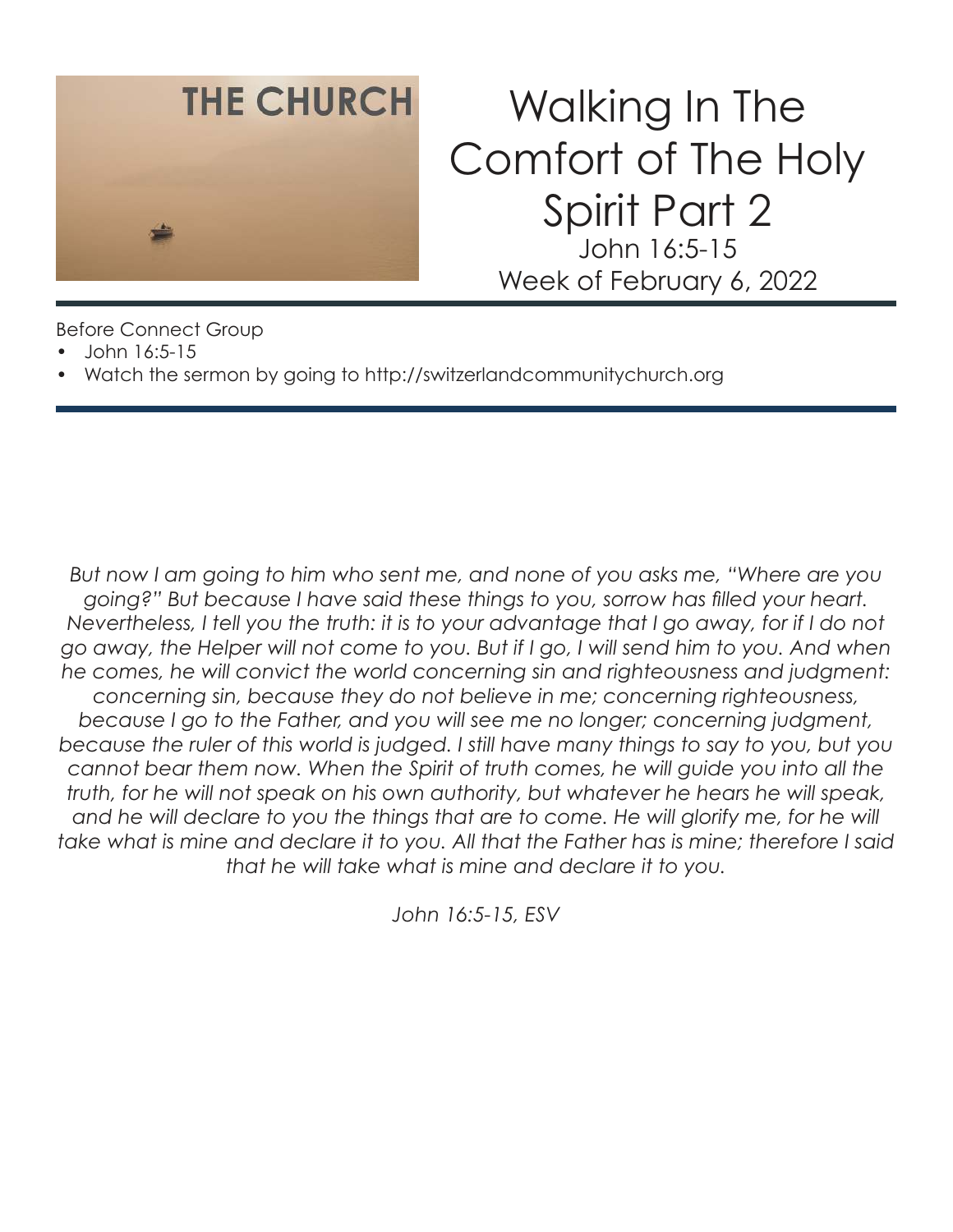

# Walking In The Comfort of The Holy Spirit Part 2 John 16:5-15 Week of February 6, 2022

Before Connect Group

- John 16:5-15
- Watch the sermon by going to http://switzerlandcommunitychurch.org

*But now I am going to him who sent me, and none of you asks me, "Where are you going?" But because I have said these things to you, sorrow has filled your heart. Nevertheless, I tell you the truth: it is to your advantage that I go away, for if I do not go away, the Helper will not come to you. But if I go, I will send him to you. And when he comes, he will convict the world concerning sin and righteousness and judgment: concerning sin, because they do not believe in me; concerning righteousness, because I go to the Father, and you will see me no longer; concerning judgment, because the ruler of this world is judged. I still have many things to say to you, but you cannot bear them now. When the Spirit of truth comes, he will guide you into all the truth, for he will not speak on his own authority, but whatever he hears he will speak,*  and he will declare to you the things that are to come. He will glorify me, for he will *take what is mine and declare it to you. All that the Father has is mine; therefore I said that he will take what is mine and declare it to you.* 

*John 16:5-15, ESV*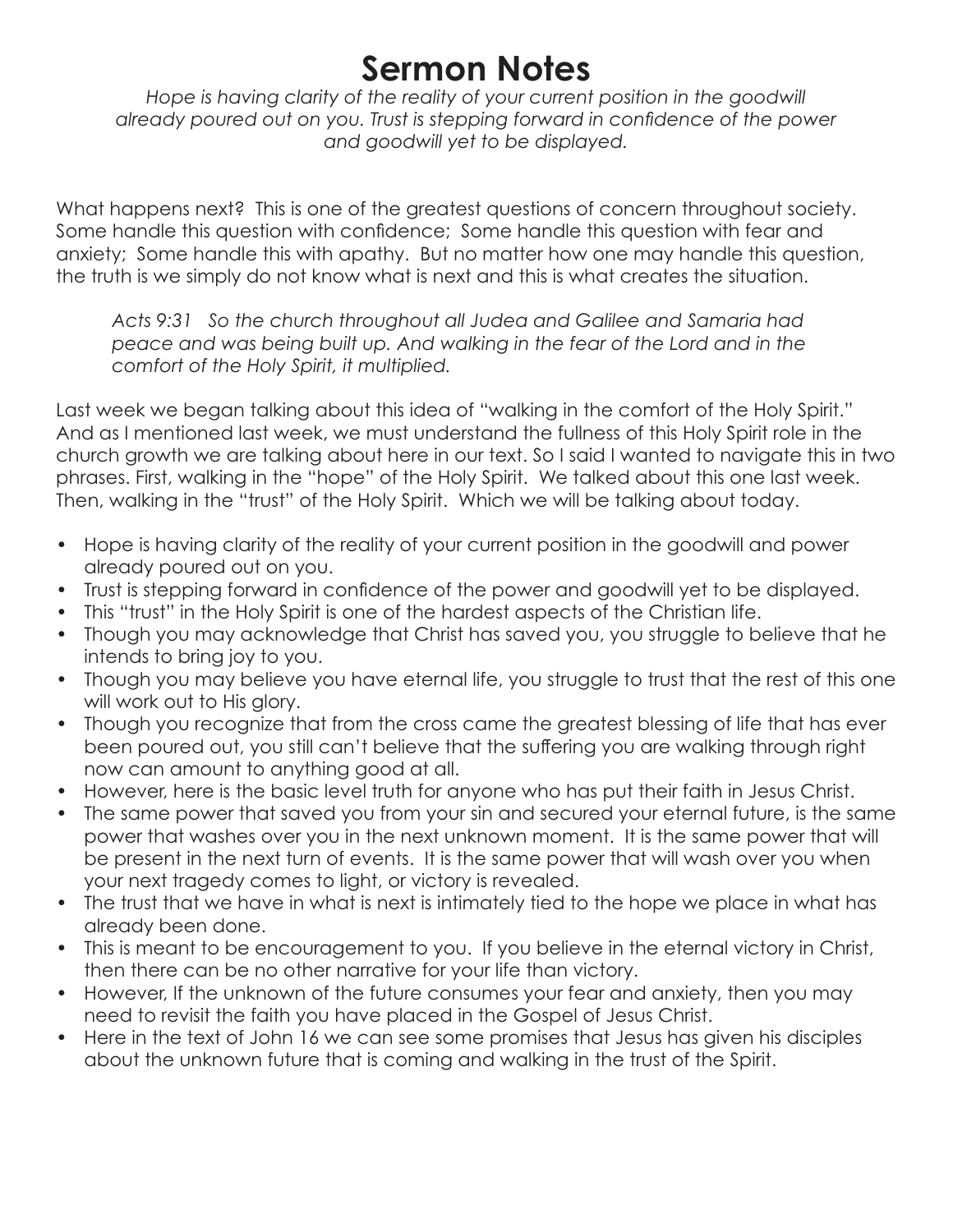### **Sermon Notes**

Hope is having clarity of the reality of your current position in the goodwill *already poured out on you. Trust is stepping forward in confidence of the power and goodwill yet to be displayed.* 

What happens next? This is one of the greatest questions of concern throughout society. Some handle this question with confidence; Some handle this question with fear and anxiety; Some handle this with apathy. But no matter how one may handle this question, the truth is we simply do not know what is next and this is what creates the situation.

*Acts 9:31 So the church throughout all Judea and Galilee and Samaria had peace and was being built up. And walking in the fear of the Lord and in the comfort of the Holy Spirit, it multiplied.* 

Last week we began talking about this idea of "walking in the comfort of the Holy Spirit." And as I mentioned last week, we must understand the fullness of this Holy Spirit role in the church growth we are talking about here in our text. So I said I wanted to navigate this in two phrases. First, walking in the "hope" of the Holy Spirit. We talked about this one last week. Then, walking in the "trust" of the Holy Spirit. Which we will be talking about today.

- Hope is having clarity of the reality of your current position in the goodwill and power already poured out on you.
- Trust is stepping forward in confidence of the power and goodwill yet to be displayed.
- This "trust" in the Holy Spirit is one of the hardest aspects of the Christian life.
- Though you may acknowledge that Christ has saved you, you struggle to believe that he intends to bring joy to you.
- Though you may believe you have eternal life, you struggle to trust that the rest of this one will work out to His glory.
- Though you recognize that from the cross came the greatest blessing of life that has ever been poured out, you still can't believe that the suffering you are walking through right now can amount to anything good at all.
- However, here is the basic level truth for anyone who has put their faith in Jesus Christ.
- The same power that saved you from your sin and secured your eternal future, is the same power that washes over you in the next unknown moment. It is the same power that will be present in the next turn of events. It is the same power that will wash over you when your next tragedy comes to light, or victory is revealed.
- The trust that we have in what is next is intimately tied to the hope we place in what has already been done.
- This is meant to be encouragement to you. If you believe in the eternal victory in Christ, then there can be no other narrative for your life than victory.
- However, If the unknown of the future consumes your fear and anxiety, then you may need to revisit the faith you have placed in the Gospel of Jesus Christ.
- Here in the text of John 16 we can see some promises that Jesus has given his disciples about the unknown future that is coming and walking in the trust of the Spirit.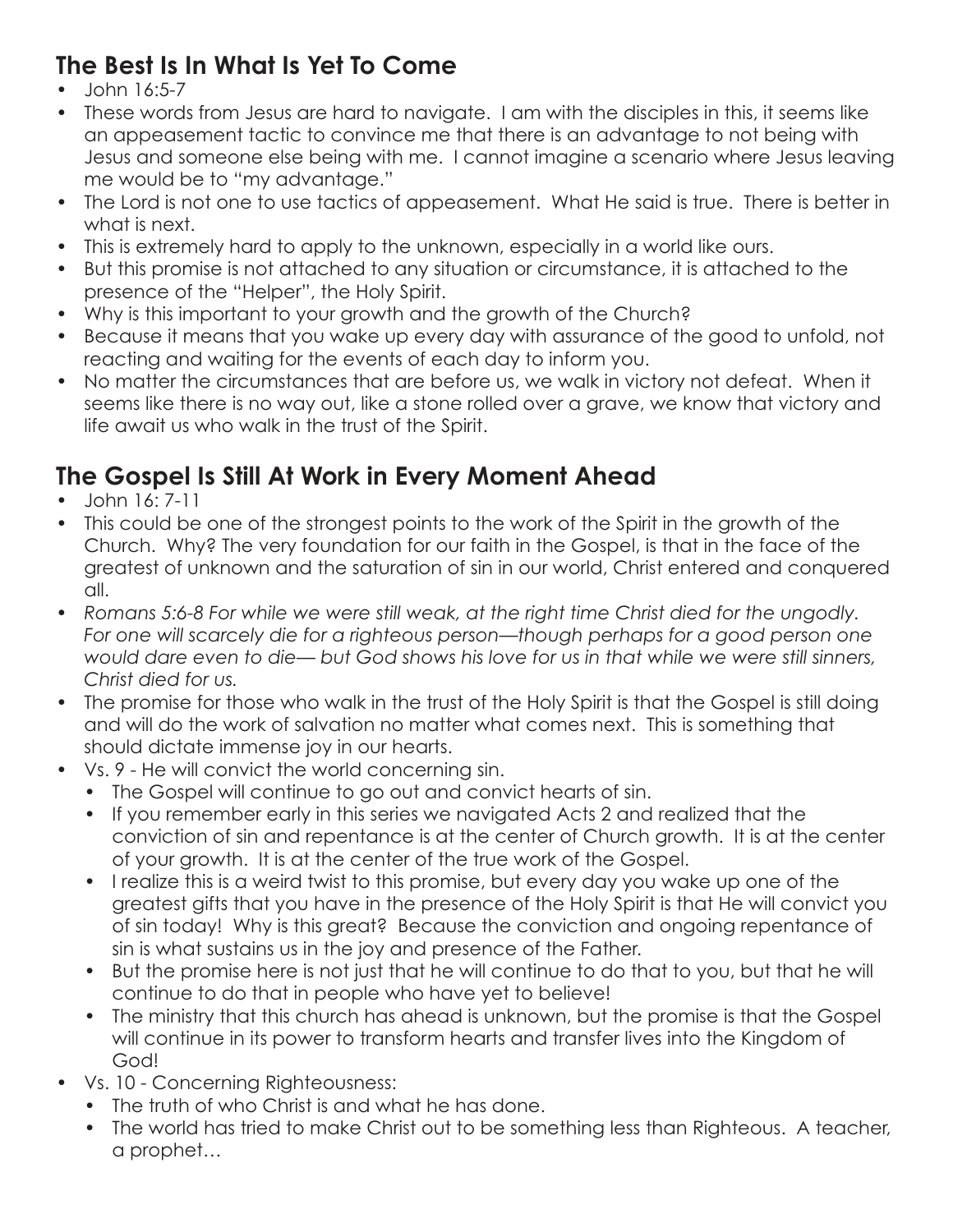#### **The Best Is In What Is Yet To Come**

- John 16:5-7
- These words from Jesus are hard to navigate. I am with the disciples in this, it seems like an appeasement tactic to convince me that there is an advantage to not being with Jesus and someone else being with me. I cannot imagine a scenario where Jesus leaving me would be to "my advantage."
- The Lord is not one to use tactics of appeasement. What He said is true. There is better in what is next.
- This is extremely hard to apply to the unknown, especially in a world like ours.
- But this promise is not attached to any situation or circumstance, it is attached to the presence of the "Helper", the Holy Spirit.
- Why is this important to your growth and the growth of the Church?
- Because it means that you wake up every day with assurance of the good to unfold, not reacting and waiting for the events of each day to inform you.
- No matter the circumstances that are before us, we walk in victory not defeat. When it seems like there is no way out, like a stone rolled over a grave, we know that victory and life await us who walk in the trust of the Spirit.

### **The Gospel Is Still At Work in Every Moment Ahead**

- John 16: 7-11
- This could be one of the strongest points to the work of the Spirit in the growth of the Church. Why? The very foundation for our faith in the Gospel, is that in the face of the greatest of unknown and the saturation of sin in our world, Christ entered and conquered all.
- *Romans 5:6-8 For while we were still weak, at the right time Christ died for the ungodly. For one will scarcely die for a righteous person—though perhaps for a good person one would dare even to die— but God shows his love for us in that while we were still sinners, Christ died for us.*
- The promise for those who walk in the trust of the Holy Spirit is that the Gospel is still doing and will do the work of salvation no matter what comes next. This is something that should dictate immense joy in our hearts.
- Vs. 9 He will convict the world concerning sin.
	- The Gospel will continue to go out and convict hearts of sin.
	- If you remember early in this series we navigated Acts 2 and realized that the conviction of sin and repentance is at the center of Church growth. It is at the center of your growth. It is at the center of the true work of the Gospel.
	- I realize this is a weird twist to this promise, but every day you wake up one of the greatest gifts that you have in the presence of the Holy Spirit is that He will convict you of sin today! Why is this great? Because the conviction and ongoing repentance of sin is what sustains us in the joy and presence of the Father.
	- But the promise here is not just that he will continue to do that to you, but that he will continue to do that in people who have yet to believe!
	- The ministry that this church has ahead is unknown, but the promise is that the Gospel will continue in its power to transform hearts and transfer lives into the Kingdom of God!
- Vs. 10 Concerning Righteousness:
	- The truth of who Christ is and what he has done.
	- The world has tried to make Christ out to be something less than Righteous. A teacher, a prophet…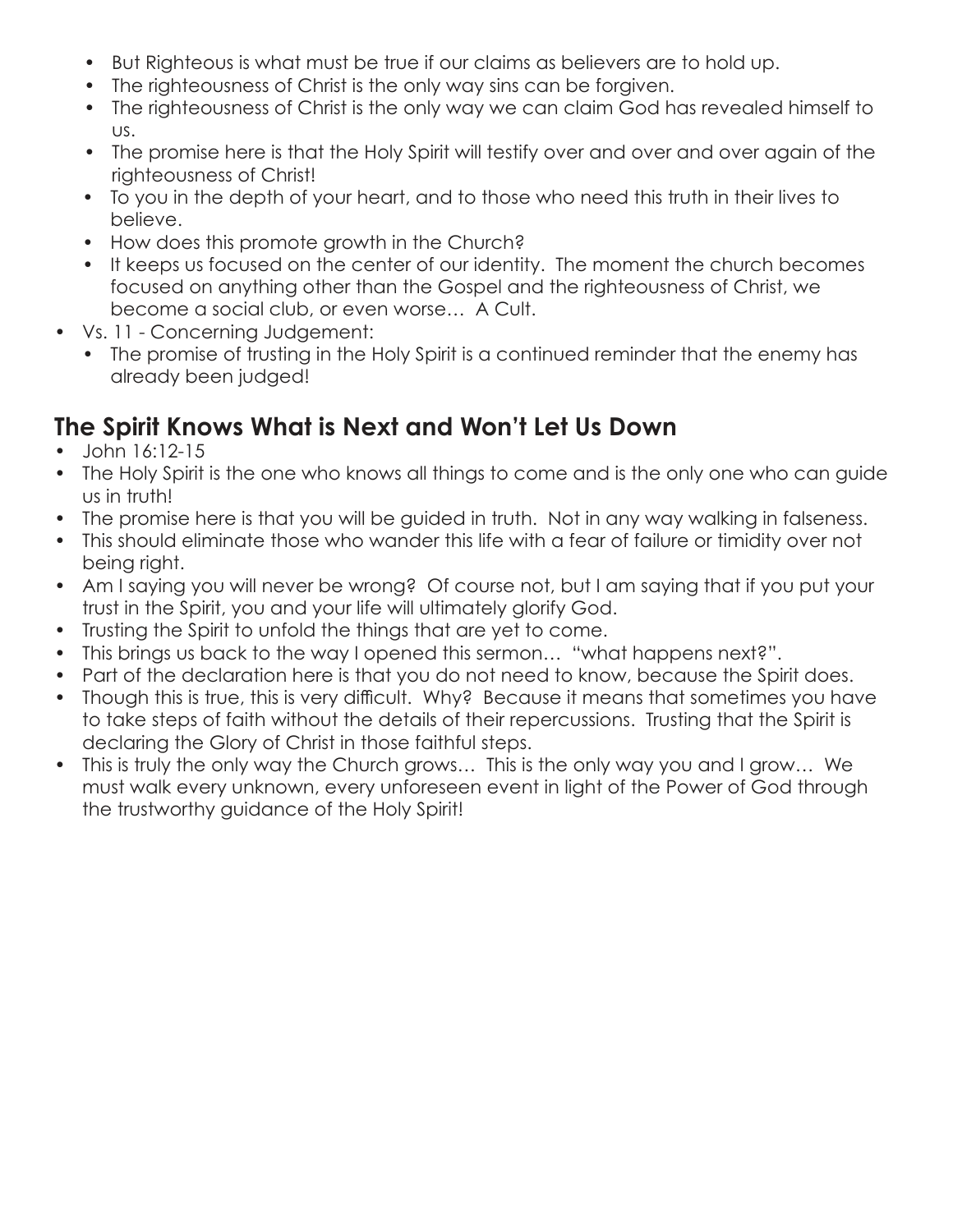- But Righteous is what must be true if our claims as believers are to hold up.
- The righteousness of Christ is the only way sins can be forgiven.
- The righteousness of Christ is the only way we can claim God has revealed himself to us.
- The promise here is that the Holy Spirit will testify over and over and over again of the righteousness of Christ!
- To you in the depth of your heart, and to those who need this truth in their lives to believe.
- How does this promote growth in the Church?
- It keeps us focused on the center of our identity. The moment the church becomes focused on anything other than the Gospel and the righteousness of Christ, we become a social club, or even worse… A Cult.
- Vs. 11 Concerning Judgement:
	- The promise of trusting in the Holy Spirit is a continued reminder that the enemy has already been judged!

#### **The Spirit Knows What is Next and Won't Let Us Down**

- John 16:12-15
- The Holy Spirit is the one who knows all things to come and is the only one who can guide us in truth!
- The promise here is that you will be guided in truth. Not in any way walking in falseness.
- This should eliminate those who wander this life with a fear of failure or timidity over not being right.
- Am I saying you will never be wrong? Of course not, but I am saying that if you put your trust in the Spirit, you and your life will ultimately glorify God.
- Trusting the Spirit to unfold the things that are yet to come.
- This brings us back to the way I opened this sermon… "what happens next?".
- Part of the declaration here is that you do not need to know, because the Spirit does.
- Though this is true, this is very difficult. Why? Because it means that sometimes you have to take steps of faith without the details of their repercussions. Trusting that the Spirit is declaring the Glory of Christ in those faithful steps.
- This is truly the only way the Church grows… This is the only way you and I grow… We must walk every unknown, every unforeseen event in light of the Power of God through the trustworthy guidance of the Holy Spirit!